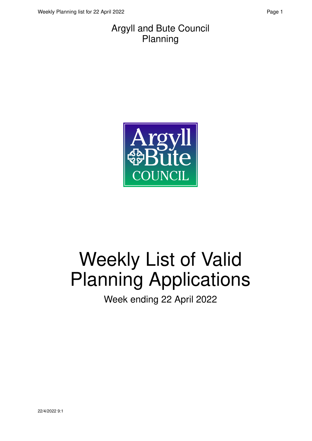#### Argyll and Bute Council Planning



# Weekly List of Valid Planning Applications

Week ending 22 April 2022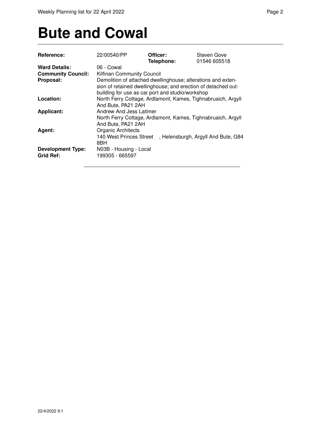### **Bute and Cowal**

| Reference:                                   | 22/00540/PP                                                                                                                                                                       | Officer:   | Steven Gove                         |
|----------------------------------------------|-----------------------------------------------------------------------------------------------------------------------------------------------------------------------------------|------------|-------------------------------------|
|                                              |                                                                                                                                                                                   | Telephone: | 01546 605518                        |
| <b>Ward Details:</b>                         | 06 - Cowal                                                                                                                                                                        |            |                                     |
| <b>Community Council:</b>                    | Kilfinan Community Council                                                                                                                                                        |            |                                     |
| Proposal:                                    | Demolition of attached dwellinghouse; alterations and exten-<br>sion of retained dwellinghouse; and erection of detached out-<br>building for use as car port and studio/workshop |            |                                     |
| Location:                                    | North Ferry Cottage, Ardlamont, Kames, Tighnabruaich, Argyll<br>And Bute, PA21 2AH                                                                                                |            |                                     |
| <b>Applicant:</b>                            | Andrew And Jess Latimer<br>North Ferry Cottage, Ardlamont, Kames, Tighnabruaich, Argyll<br>And Bute, PA21 2AH                                                                     |            |                                     |
| Agent:                                       | <b>Organic Architects</b><br>140 West Princes Street<br>8BH                                                                                                                       |            | , Helensburgh, Argyll And Bute, G84 |
| <b>Development Type:</b><br><b>Grid Ref:</b> | N03B - Housing - Local<br>199305 - 665597                                                                                                                                         |            |                                     |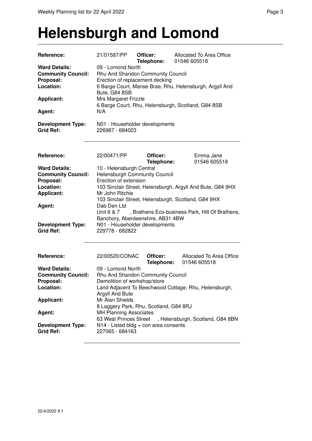#### **Helensburgh and Lomond**

| Reference:                                                                                                                             | 21/01587/PP                                                                                                                                                                                                                                                                                  | Officer:<br>Telephone: | Allocated To Area Office<br>01546 605518                   |
|----------------------------------------------------------------------------------------------------------------------------------------|----------------------------------------------------------------------------------------------------------------------------------------------------------------------------------------------------------------------------------------------------------------------------------------------|------------------------|------------------------------------------------------------|
| <b>Ward Details:</b><br><b>Community Council:</b><br>Proposal:<br>Location:<br><b>Applicant:</b><br>Agent:<br><b>Development Type:</b> | 09 - Lomond North<br>Rhu And Shandon Community Council<br>Erection of replacement decking<br>6 Barge Court, Manse Brae, Rhu, Helensburgh, Argyll And<br>Bute, G84 8SB<br>Mrs Margaret Frizzle<br>6 Barge Court, Rhu, Helensburgh, Scotland, G84 8SB<br>N/A<br>N01 - Householder developments |                        |                                                            |
| <b>Grid Ref:</b>                                                                                                                       | 226987 - 684023                                                                                                                                                                                                                                                                              |                        |                                                            |
| Reference:                                                                                                                             | 22/00471/PP                                                                                                                                                                                                                                                                                  | Officer:<br>Telephone: | Emma Jane<br>01546 605518                                  |
| <b>Ward Details:</b>                                                                                                                   | 10 - Helensburgh Central                                                                                                                                                                                                                                                                     |                        |                                                            |
| <b>Community Council:</b>                                                                                                              | <b>Helensburgh Community Council</b>                                                                                                                                                                                                                                                         |                        |                                                            |
| Proposal:                                                                                                                              | Erection of extension                                                                                                                                                                                                                                                                        |                        |                                                            |
| Location:                                                                                                                              |                                                                                                                                                                                                                                                                                              |                        | 103 Sinclair Street, Helensburgh, Argyll And Bute, G84 9HX |
| <b>Applicant:</b>                                                                                                                      | Mr John Ritchie                                                                                                                                                                                                                                                                              |                        |                                                            |
|                                                                                                                                        |                                                                                                                                                                                                                                                                                              |                        | 103 Sinclair Street, Helensburgh, Scotland, G84 9HX        |
| Agent:                                                                                                                                 | Dab Den Ltd                                                                                                                                                                                                                                                                                  |                        |                                                            |
|                                                                                                                                        | Unit 6 & 7                                                                                                                                                                                                                                                                                   |                        | , Brathens Eco-business Park, Hill Of Brathens,            |
|                                                                                                                                        | Banchory, Aberdeenshire, AB31 4BW                                                                                                                                                                                                                                                            |                        |                                                            |
| <b>Development Type:</b><br><b>Grid Ref:</b>                                                                                           | N01 - Householder developments<br>229778 - 682822                                                                                                                                                                                                                                            |                        |                                                            |
| Reference:                                                                                                                             | 22/00520/CONAC                                                                                                                                                                                                                                                                               | Officer:<br>Telephone: | Allocated To Area Office<br>01546 605518                   |
| <b>Ward Details:</b>                                                                                                                   | 09 - Lomond North                                                                                                                                                                                                                                                                            |                        |                                                            |
| <b>Community Council:</b>                                                                                                              | Rhu And Shandon Community Council                                                                                                                                                                                                                                                            |                        |                                                            |
| Proposal:                                                                                                                              | Demolition of workshop/store                                                                                                                                                                                                                                                                 |                        |                                                            |
| Location:                                                                                                                              | Argyll And Bute                                                                                                                                                                                                                                                                              |                        | Land Adjacent To Beechwood Cottage, Rhu, Helensburgh,      |
| <b>Applicant:</b>                                                                                                                      | Mr Alan Shields<br>8 Laggery Park, Rhu, Scotland, G84 8RJ                                                                                                                                                                                                                                    |                        |                                                            |
| Agent:                                                                                                                                 | <b>MH Planning Associates</b><br>63 West Princes Street                                                                                                                                                                                                                                      |                        | , Helensburgh, Scotland, G84 8BN                           |
| <b>Development Type:</b><br><b>Grid Ref:</b>                                                                                           | N14 - Listed bldg + con area consents<br>227065 - 684163                                                                                                                                                                                                                                     |                        |                                                            |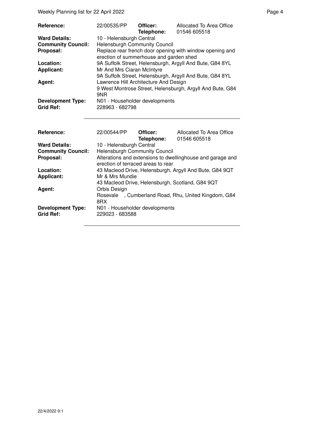Weekly Planning list for 22 April 2022 **Page 4** Page 4

Agent: **Drive Orbis Design** 

| Reference:<br><b>Ward Details:</b>           | 22/00535/PP<br>10 - Helensburgh Central           | Officer:<br>Telephone: | Allocated To Area Office<br>01546 605518                   |
|----------------------------------------------|---------------------------------------------------|------------------------|------------------------------------------------------------|
| <b>Community Council:</b>                    | <b>Helensburgh Community Council</b>              |                        |                                                            |
| Proposal:                                    | erection of summerhouse and garden shed           |                        | Replace rear french door opening with window opening and   |
| Location:                                    |                                                   |                        | 9A Suffolk Street, Helensburgh, Argyll And Bute, G84 8YL   |
| <b>Applicant:</b>                            | Mr And Mrs Ciaran McIntyre                        |                        |                                                            |
|                                              | Lawrence Hill Architecture And Design             |                        | 9A Suffolk Street, Helensburgh, Argyll And Bute, G84 8YL   |
| Agent:                                       | 9NR                                               |                        | 9 West Montrose Street, Helensburgh, Argyll And Bute, G84  |
| <b>Development Type:</b><br><b>Grid Ref:</b> | N01 - Householder developments<br>228963 - 682798 |                        |                                                            |
|                                              |                                                   |                        |                                                            |
| Reference:                                   | 22/00544/PP                                       | Officer:               | Allocated To Area Office                                   |
|                                              |                                                   | Telephone:             | 01546 605518                                               |
| <b>Ward Details:</b>                         | 10 - Helensburgh Central                          |                        |                                                            |
| <b>Community Council:</b>                    | <b>Helensburgh Community Council</b>              |                        |                                                            |
| Proposal:                                    | erection of terraced areas to rear                |                        | Alterations and extensions to dwellinghouse and garage and |

**Location:** 43 Macleod Drive, Helensburgh, Argyll And Bute, G84 9QT<br>**Applicant:** Mr & Mrs Mundie

43 Macleod Drive, Helensburgh, Scotland, G84 9QT

Rosevale , Cumberland Road, Rhu, United Kingdom, G84

**Applicant:** Mr & Mrs Mundie

**Grid Ref:** 229023 - 683588

8RX **Development Type:** N01 - Householder developments<br>Grid Ref: 229023 - 683588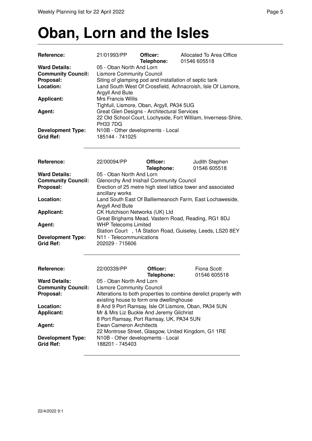# **Oban, Lorn and the Isles**

| Reference:                | 21/01993/PP                                                                                                                                                                            | Officer:<br>Telephone: | Allocated To Area Office<br>01546 605518                         |
|---------------------------|----------------------------------------------------------------------------------------------------------------------------------------------------------------------------------------|------------------------|------------------------------------------------------------------|
| <b>Ward Details:</b>      | 05 - Oban North And Lorn<br><b>Lismore Community Council</b><br>Siting of glamping pod and installation of septic tank<br>Land South West Of Crossfield, Achnacroish, Isle Of Lismore, |                        |                                                                  |
| <b>Community Council:</b> |                                                                                                                                                                                        |                        |                                                                  |
| Proposal:                 |                                                                                                                                                                                        |                        |                                                                  |
| Location:                 |                                                                                                                                                                                        |                        |                                                                  |
|                           | Argyll And Bute                                                                                                                                                                        |                        |                                                                  |
| <b>Applicant:</b>         | Mrs Francis Willis                                                                                                                                                                     |                        |                                                                  |
|                           | Tighfuil, Lismore, Oban, Argyll, PA34 5UG                                                                                                                                              |                        |                                                                  |
|                           |                                                                                                                                                                                        |                        |                                                                  |
| Agent:                    | Great Glen Designs - Architectural Services                                                                                                                                            |                        |                                                                  |
|                           |                                                                                                                                                                                        |                        | 22 Old School Court, Lochyside, Fort William, Inverness-Shire,   |
|                           | <b>PH33 7DG</b>                                                                                                                                                                        |                        |                                                                  |
| <b>Development Type:</b>  | N10B - Other developments - Local                                                                                                                                                      |                        |                                                                  |
| <b>Grid Ref:</b>          | 185144 - 741025                                                                                                                                                                        |                        |                                                                  |
|                           |                                                                                                                                                                                        |                        |                                                                  |
| Reference:                | 22/00094/PP                                                                                                                                                                            | Officer:               |                                                                  |
|                           |                                                                                                                                                                                        |                        | Judith Stephen                                                   |
|                           |                                                                                                                                                                                        | Telephone:             | 01546 605518                                                     |
| <b>Ward Details:</b>      | 05 - Oban North And Lorn                                                                                                                                                               |                        |                                                                  |
| <b>Community Council:</b> | Glenorchy And Inishail Community Council                                                                                                                                               |                        |                                                                  |
| Proposal:                 |                                                                                                                                                                                        |                        | Erection of 25 metre high steel lattice tower and associated     |
|                           | ancillary works                                                                                                                                                                        |                        |                                                                  |
| Location:                 |                                                                                                                                                                                        |                        | Land South East Of Balliemeanoch Farm, East Lochaweside,         |
|                           | Argyll And Bute                                                                                                                                                                        |                        |                                                                  |
| <b>Applicant:</b>         | CK Hutchison Networks (UK) Ltd                                                                                                                                                         |                        |                                                                  |
|                           |                                                                                                                                                                                        |                        | Great Brighams Mead, Vastern Road, Reading, RG1 8DJ              |
| Agent:                    | <b>WHP Telecoms Limited</b>                                                                                                                                                            |                        |                                                                  |
|                           |                                                                                                                                                                                        |                        | Station Court, 1A Station Road, Guiseley, Leeds, LS20 8EY        |
| <b>Development Type:</b>  | N11 - Telecommunications                                                                                                                                                               |                        |                                                                  |
| <b>Grid Ref:</b>          | 202029 - 715606                                                                                                                                                                        |                        |                                                                  |
|                           |                                                                                                                                                                                        |                        |                                                                  |
| Reference:                | 22/00339/PP                                                                                                                                                                            | Officer:               | <b>Fiona Scott</b>                                               |
|                           |                                                                                                                                                                                        |                        |                                                                  |
|                           |                                                                                                                                                                                        | Telephone:             | 01546 605518                                                     |
| <b>Ward Details:</b>      | 05 - Oban North And Lorn                                                                                                                                                               |                        |                                                                  |
| <b>Community Council:</b> | <b>Lismore Community Council</b>                                                                                                                                                       |                        |                                                                  |
| Proposal:                 |                                                                                                                                                                                        |                        | Alterations to both properties to combine derelict property with |
|                           | existing house to form one dwellinghouse                                                                                                                                               |                        |                                                                  |
| Location:                 |                                                                                                                                                                                        |                        | 8 And 9 Port Ramsay, Isle Of Lismore, Oban, PA34 5UN             |
| <b>Applicant:</b>         | Mr & Mrs Liz Buckle And Jeremy Gilchrist                                                                                                                                               |                        |                                                                  |
|                           | 8 Port Ramsay, Port Ramsay, UK, PA34 5UN                                                                                                                                               |                        |                                                                  |
| Agent:                    | <b>Ewan Cameron Architects</b>                                                                                                                                                         |                        |                                                                  |
|                           |                                                                                                                                                                                        |                        | 22 Montrose Street, Glasgow, United Kingdom, G1 1RE              |
| <b>Development Type:</b>  | N10B - Other developments - Local                                                                                                                                                      |                        |                                                                  |
| <b>Grid Ref:</b>          | 188201 - 745403                                                                                                                                                                        |                        |                                                                  |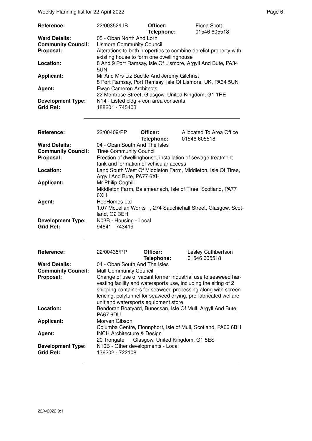| Reference:                | 22/00352/LIB                                                     | Officer:   | Fiona Scott  |
|---------------------------|------------------------------------------------------------------|------------|--------------|
|                           |                                                                  | Telephone: | 01546 605518 |
| <b>Ward Details:</b>      | 05 - Oban North And Lorn                                         |            |              |
| <b>Community Council:</b> | <b>Lismore Community Council</b>                                 |            |              |
| Proposal:                 | Alterations to both properties to combine derelict property with |            |              |
|                           | existing house to form one dwellinghouse                         |            |              |
| Location:                 | 8 And 9 Port Ramsay, Isle Of Lismore, Argyll And Bute, PA34      |            |              |
|                           | 5UN                                                              |            |              |
| <b>Applicant:</b>         | Mr And Mrs Liz Buckle And Jeremy Gilchrist                       |            |              |
|                           | 8 Port Ramsay, Port Ramsay, Isle Of Lismore, UK, PA34 5UN        |            |              |
| Agent:                    | Ewan Cameron Architects                                          |            |              |
|                           | 22 Montrose Street, Glasgow, United Kingdom, G1 1RE              |            |              |
| <b>Development Type:</b>  | $N14$ - Listed bldg + con area consents                          |            |              |
| <b>Grid Ref:</b>          | 188201 - 745403                                                  |            |              |

| Reference:                                                     | 22/00409/PP                                                                                               | Officer:<br>Telephone: | Allocated To Area Office<br>01546 605518                                                                                                                                                                                                                           |
|----------------------------------------------------------------|-----------------------------------------------------------------------------------------------------------|------------------------|--------------------------------------------------------------------------------------------------------------------------------------------------------------------------------------------------------------------------------------------------------------------|
| <b>Ward Details:</b><br><b>Community Council:</b><br>Proposal: | 04 - Oban South And The Isles<br><b>Tiree Community Council</b><br>tank and formation of vehicular access |                        | Erection of dwellinghouse, installation of sewage treatment                                                                                                                                                                                                        |
| Location:                                                      | Argyll And Bute, PA77 6XH                                                                                 |                        | Land South West Of Middleton Farm, Middleton, Isle Of Tiree,                                                                                                                                                                                                       |
| <b>Applicant:</b>                                              | Mr Philip Coghill<br>6XH                                                                                  |                        | Middleton Farm, Balemeanach, Isle of Tiree, Scotland, PA77                                                                                                                                                                                                         |
| Agent:                                                         | <b>HebHomes Ltd</b><br>land, G2 3EH                                                                       |                        | 1.07 McLellan Works , 274 Sauchiehall Street, Glasgow, Scot-                                                                                                                                                                                                       |
| <b>Development Type:</b><br><b>Grid Ref:</b>                   | N03B - Housing - Local<br>94641 - 743419                                                                  |                        |                                                                                                                                                                                                                                                                    |
| Reference:                                                     | 22/00435/PP                                                                                               | Officer:<br>Telephone: | Lesley Cuthbertson<br>01546 605518                                                                                                                                                                                                                                 |
| <b>Ward Details:</b><br><b>Community Council:</b>              | 04 - Oban South And The Isles<br><b>Mull Community Council</b>                                            |                        |                                                                                                                                                                                                                                                                    |
| Proposal:                                                      | unit and watersports equipment store                                                                      |                        | Change of use of vacant former industrial use to seaweed har-<br>vesting facility and watersports use, including the siting of 2<br>shipping containers for seaweed processing along with screen<br>fencing, polytunnel for seaweed drying, pre-fabricated welfare |
| Location:                                                      | <b>PA67 6DU</b>                                                                                           |                        | Bendoran Boatyard, Bunessan, Isle Of Mull, Argyll And Bute,                                                                                                                                                                                                        |
| Applicant:                                                     | Morven Gibson                                                                                             |                        | Columba Centre, Fionnphort, Isle of Mull, Scotland, PA66 6BH                                                                                                                                                                                                       |
| Agent:                                                         | <b>INCH Architecture &amp; Design</b><br>20 Trongate, Glasgow, United Kingdom, G1 5ES                     |                        |                                                                                                                                                                                                                                                                    |
| <b>Development Type:</b><br><b>Grid Ref:</b>                   | N10B - Other developments - Local<br>136202 - 722108                                                      |                        |                                                                                                                                                                                                                                                                    |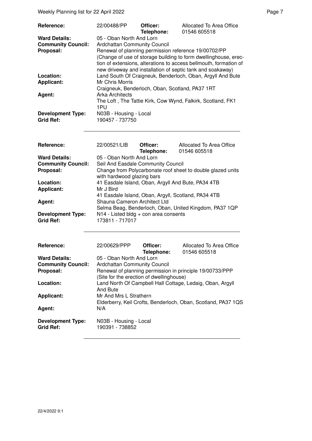| Reference:                | 22/00488/PP                                     | Officer:<br>Telephone: | Allocated To Area Office<br>01546 605518                                                                                                                                                                                                                   |
|---------------------------|-------------------------------------------------|------------------------|------------------------------------------------------------------------------------------------------------------------------------------------------------------------------------------------------------------------------------------------------------|
| <b>Ward Details:</b>      | 05 - Oban North And Lorn                        |                        |                                                                                                                                                                                                                                                            |
| <b>Community Council:</b> | Ardchattan Community Council                    |                        |                                                                                                                                                                                                                                                            |
| Proposal:                 |                                                 |                        | Renewal of planning permission reference 19/00702/PP<br>(Change of use of storage building to form dwellinghouse, erec-<br>tion of extensions, alterations to access bellmouth, formation of<br>new driveway and installation of septic tank and soakaway) |
| Location:                 |                                                 |                        | Land South Of Craigneuk, Benderloch, Oban, Argyll And Bute                                                                                                                                                                                                 |
| <b>Applicant:</b>         | Mr Chris Morris                                 |                        |                                                                                                                                                                                                                                                            |
|                           | Craigneuk, Benderloch, Oban, Scotland, PA37 1RT |                        |                                                                                                                                                                                                                                                            |
| Agent:                    | <b>Arka Architects</b>                          |                        |                                                                                                                                                                                                                                                            |
|                           | 1PU                                             |                        | The Loft, The Tattie Kirk, Cow Wynd, Falkirk, Scotland, FK1                                                                                                                                                                                                |
| <b>Development Type:</b>  | N03B - Housing - Local                          |                        |                                                                                                                                                                                                                                                            |
| <b>Grid Ref:</b>          | 190457 - 737750                                 |                        |                                                                                                                                                                                                                                                            |

| Reference:                | 22/00521/LIB                            | Officer:   | Allocated To Area Office                                    |
|---------------------------|-----------------------------------------|------------|-------------------------------------------------------------|
|                           |                                         | Telephone: | 01546 605518                                                |
| <b>Ward Details:</b>      | 05 - Oban North And Lorn                |            |                                                             |
| <b>Community Council:</b> | Seil And Easdale Community Council      |            |                                                             |
| Proposal:                 | with hardwood glazing bars              |            | Change from Polycarbonate roof sheet to double glazed units |
| Location:                 |                                         |            | 41 Easdale Island, Oban, Argyll And Bute, PA34 4TB          |
| <b>Applicant:</b>         | Mr J Bird                               |            |                                                             |
|                           |                                         |            | 41 Easdale Island, Oban, Argyll, Scotland, PA34 4TB         |
| Agent:                    | Shauna Cameron Architect Ltd            |            |                                                             |
|                           |                                         |            | Selma Beag, Benderloch, Oban, United Kingdom, PA37 1QP      |
| <b>Development Type:</b>  | $N14$ - Listed bldg + con area consents |            |                                                             |
| <b>Grid Ref:</b>          | 173811 - 717017                         |            |                                                             |

| <b>Reference:</b>                            | 22/00629/PPP                              | Officer:<br>Telephone: | Allocated To Area Office<br>01546 605518                      |
|----------------------------------------------|-------------------------------------------|------------------------|---------------------------------------------------------------|
| <b>Ward Details:</b>                         | 05 - Oban North And Lorn                  |                        |                                                               |
| <b>Community Council:</b>                    | Ardchattan Community Council              |                        |                                                               |
| Proposal:                                    |                                           |                        | Renewal of planning permission in principle 19/00733/PPP      |
|                                              | (Site for the erection of dwellinghouse)  |                        |                                                               |
| Location:                                    | And Bute                                  |                        | Land North Of Campbell Hall Cottage, Ledaig, Oban, Argyll     |
| <b>Applicant:</b>                            | Mr And Mrs L Strathern                    |                        |                                                               |
|                                              |                                           |                        | Elderberry, Keil Crofts, Benderloch, Oban, Scotland, PA37 1QS |
| Agent:                                       | N/A                                       |                        |                                                               |
| <b>Development Type:</b><br><b>Grid Ref:</b> | N03B - Housing - Local<br>190391 - 738852 |                        |                                                               |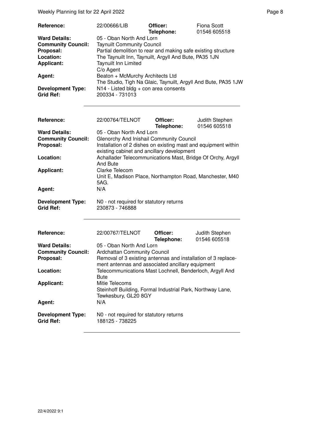Weekly Planning list for 22 April 2022 **Page 8** Page 8

| Reference:                | 22/00666/LIB                                                   | Officer:<br>Telephone: | Fiona Scott<br>01546 605518 |
|---------------------------|----------------------------------------------------------------|------------------------|-----------------------------|
| <b>Ward Details:</b>      | 05 - Oban North And Lorn                                       |                        |                             |
| <b>Community Council:</b> | <b>Taynuilt Community Council</b>                              |                        |                             |
| Proposal:                 | Partial demolition to rear and making safe existing structure  |                        |                             |
| Location:                 | The Taynuilt Inn, Taynuilt, Argyll And Bute, PA35 1JN          |                        |                             |
| <b>Applicant:</b>         | <b>Taynuilt Inn Limited</b>                                    |                        |                             |
|                           | C/o Agent                                                      |                        |                             |
| Agent:                    | Beaton + McMurchy Architects Ltd                               |                        |                             |
|                           | The Studio, Tigh Na Glaic, Taynuilt, Argyll And Bute, PA35 1JW |                        |                             |
| <b>Development Type:</b>  | N14 - Listed bldg + con area consents                          |                        |                             |
| Grid Ref:                 | 200334 - 731013                                                |                        |                             |
|                           |                                                                |                        |                             |

| <b>Reference:</b>         | 22/00764/TELNOT                                                | Officer:   | Judith Stephen<br>01546 605518 |
|---------------------------|----------------------------------------------------------------|------------|--------------------------------|
| <b>Ward Details:</b>      | 05 - Oban North And Lorn                                       | Telephone: |                                |
| <b>Community Council:</b> | Glenorchy And Inishail Community Council                       |            |                                |
| Proposal:                 | Installation of 2 dishes on existing mast and equipment within |            |                                |
|                           | existing cabinet and ancillary development                     |            |                                |
| Location:                 | Achallader Telecommunications Mast, Bridge Of Orchy, Argyll    |            |                                |
|                           | And Bute                                                       |            |                                |
| <b>Applicant:</b>         | Clarke Telecom                                                 |            |                                |
|                           | Unit E, Madison Place, Northampton Road, Manchester, M40       |            |                                |
|                           | 5AG.                                                           |            |                                |
| Agent:                    | N/A                                                            |            |                                |
| <b>Development Type:</b>  | NO - not required for statutory returns                        |            |                                |
| <b>Grid Ref:</b>          | 230873 - 746888                                                |            |                                |
|                           |                                                                |            |                                |
|                           |                                                                |            |                                |
|                           |                                                                |            |                                |
| <b>Reference:</b>         | 22/00767/TELNOT                                                | Officer:   | Judith Stephen                 |
| <b>Ward Details:</b>      | 05 - Oban North And Lorn                                       | Telephone: | 01546 605518                   |
|                           |                                                                |            |                                |

| 05 - Oban North And Lorn                                                                                          |
|-------------------------------------------------------------------------------------------------------------------|
| <b>Ardchattan Community Council</b>                                                                               |
| Removal of 3 existing antennas and installation of 3 replace-<br>ment antennas and associated ancillary equipment |
| Telecommunications Mast Lochnell, Benderloch, Argyll And<br><b>Bute</b>                                           |
| Mitie Telecoms                                                                                                    |
| Steinhoff Building, Formal Industrial Park, Northway Lane,<br>Tewkesbury, GL20 8GY                                |
| N/A                                                                                                               |
| N0 - not required for statutory returns<br>188125 - 738225                                                        |
|                                                                                                                   |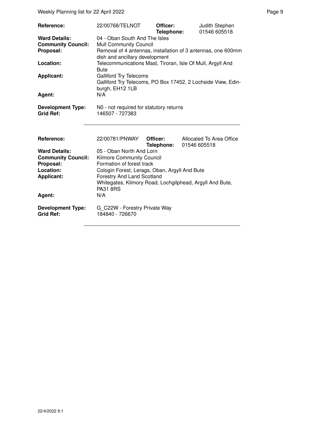| Reference:                                                     | 22/00768/TELNOT                                                                                                                                                  | Officer:<br>Telephone: | Judith Stephen<br>01546 605518           |  |  |  |
|----------------------------------------------------------------|------------------------------------------------------------------------------------------------------------------------------------------------------------------|------------------------|------------------------------------------|--|--|--|
| <b>Ward Details:</b><br><b>Community Council:</b><br>Proposal: | 04 - Oban South And The Isles<br><b>Mull Community Council</b><br>Removal of 4 antennas, installation of 3 antennas, one 600mm<br>dish and ancillary development |                        |                                          |  |  |  |
| Location:                                                      | Telecommunications Mast, Tiroran, Isle Of Mull, Argyll And<br><b>Bute</b>                                                                                        |                        |                                          |  |  |  |
| <b>Applicant:</b>                                              | <b>Galliford Try Telecoms</b><br>Galliford Try Telecoms, PO Box 17452, 2 Lochside View, Edin-<br>burgh, EH12 1LB                                                 |                        |                                          |  |  |  |
| Agent:                                                         | N/A                                                                                                                                                              |                        |                                          |  |  |  |
| <b>Development Type:</b><br><b>Grid Ref:</b>                   | N0 - not required for statutory returns<br>146507 - 727383                                                                                                       |                        |                                          |  |  |  |
| Reference:                                                     | 22/00781/PNWAY                                                                                                                                                   | Officer:<br>Telephone: | Allocated To Area Office<br>01546 605518 |  |  |  |
| <b>Ward Details:</b><br><b>Community Council:</b>              | 05 - Oban North And Lorn<br><b>Kilmore Community Council</b>                                                                                                     |                        |                                          |  |  |  |
| Proposal:                                                      | Formation of forest track                                                                                                                                        |                        |                                          |  |  |  |
| Location:                                                      | Cologin Forest, Lerags, Oban, Argyll And Bute                                                                                                                    |                        |                                          |  |  |  |
| <b>Applicant:</b>                                              | <b>Forestry And Land Scotland</b><br>Whitegates, Kilmory Road, Lochgilphead, Argyll And Bute,<br><b>PA31 8RS</b>                                                 |                        |                                          |  |  |  |
| Agent:                                                         | N/A                                                                                                                                                              |                        |                                          |  |  |  |
| <b>Development Type:</b><br><b>Grid Ref:</b>                   | G C22W - Forestry Private Way<br>184840 - 726670                                                                                                                 |                        |                                          |  |  |  |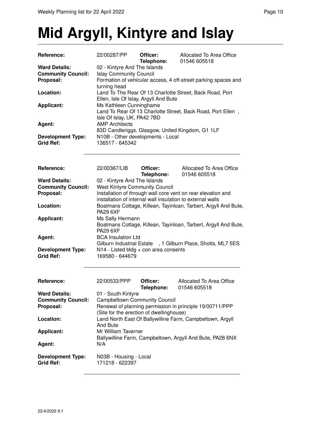## **Mid Argyll, Kintyre and Islay**

| <b>Reference:</b>                            | 22/00287/PP                                                                    | Officer:<br>Telephone: | Allocated To Area Office<br>01546 605518                        |  |  |
|----------------------------------------------|--------------------------------------------------------------------------------|------------------------|-----------------------------------------------------------------|--|--|
| <b>Ward Details:</b>                         | 02 - Kintyre And The Islands                                                   |                        |                                                                 |  |  |
| <b>Community Council:</b>                    | <b>Islay Community Council</b>                                                 |                        |                                                                 |  |  |
| Proposal:                                    | Formation of vehicular access, 4 off-street parking spaces and<br>turning head |                        |                                                                 |  |  |
| Location:                                    |                                                                                |                        | Land To The Rear Of 13 Charlotte Street, Back Road, Port        |  |  |
|                                              | Ellen, Isle Of Islay, Argyll And Bute                                          |                        |                                                                 |  |  |
| <b>Applicant:</b>                            | Ms Kathleen Cunninghame                                                        |                        |                                                                 |  |  |
|                                              |                                                                                |                        | Land To Rear Of 13 Charlotte Street, Back Road, Port Ellen,     |  |  |
|                                              | Isle Of Islay, UK, PA42 7BD                                                    |                        |                                                                 |  |  |
| Agent:                                       | <b>AMP Architects</b>                                                          |                        |                                                                 |  |  |
|                                              | 83D Candleriggs, Glasgow, United Kingdom, G1 1LF                               |                        |                                                                 |  |  |
| <b>Development Type:</b><br><b>Grid Ref:</b> | N10B - Other developments - Local<br>136517 - 645342                           |                        |                                                                 |  |  |
|                                              |                                                                                |                        |                                                                 |  |  |
| Reference:                                   | 22/00367/LIB                                                                   | Officer:<br>Telephone: | Allocated To Area Office<br>01546 605518                        |  |  |
| <b>Ward Details:</b>                         | 02 - Kintyre And The Islands                                                   |                        |                                                                 |  |  |
| <b>Community Council:</b>                    | <b>West Kintyre Community Council</b>                                          |                        |                                                                 |  |  |
| Proposal:                                    | Installation of through wall core vent on rear elevation and                   |                        |                                                                 |  |  |
|                                              | installation of internal wall insulation to external walls                     |                        |                                                                 |  |  |
| Location:                                    |                                                                                |                        | Boatmans Cottage, Killean, Tayinloan, Tarbert, Argyll And Bute, |  |  |
|                                              | <b>PA29 6XF</b>                                                                |                        |                                                                 |  |  |
| <b>Applicant:</b>                            | Ms Sally Hermann                                                               |                        |                                                                 |  |  |
|                                              | Boatmans Cottage, Killean, Tayinloan, Tarbert, Argyll And Bute,                |                        |                                                                 |  |  |
|                                              | <b>PA29 6XF</b>                                                                |                        |                                                                 |  |  |
| Agent:                                       | <b>BCA Insulation Ltd</b>                                                      |                        |                                                                 |  |  |
|                                              |                                                                                |                        | Gilburn Industrial Estate , 1 Gilburn Place, Shotts, ML7 5ES    |  |  |
| <b>Development Type:</b><br><b>Grid Ref:</b> | $N14$ - Listed bldg + con area consents<br>169580 - 644679                     |                        |                                                                 |  |  |
|                                              |                                                                                |                        |                                                                 |  |  |
| Reference:                                   | 22/00533/PPP                                                                   | Officer:<br>Telephone: | Allocated To Area Office<br>01546 605518                        |  |  |
| <b>Ward Details:</b>                         | 01 - South Kintyre                                                             |                        |                                                                 |  |  |
| <b>Community Council:</b>                    | <b>Campbeltown Community Council</b>                                           |                        |                                                                 |  |  |
| Proposal:                                    |                                                                                |                        | Renewal of planning permission in principle 19/00711/PPP        |  |  |
|                                              | (Site for the erection of dwellinghouse)                                       |                        |                                                                 |  |  |
| Location:                                    |                                                                                |                        | Land North East Of Ballywilline Farm, Campbeltown, Argyll       |  |  |
|                                              | <b>And Bute</b>                                                                |                        |                                                                 |  |  |
| <b>Applicant:</b>                            | Mr William Taverner                                                            |                        |                                                                 |  |  |
|                                              |                                                                                |                        | Ballywilline Farm, Campbeltown, Argyll And Bute, PA28 6NX       |  |  |
| Agent:                                       | N/A                                                                            |                        |                                                                 |  |  |
| <b>Development Type:</b><br><b>Grid Ref:</b> | N03B - Housing - Local<br>171218 - 622397                                      |                        |                                                                 |  |  |
|                                              |                                                                                |                        |                                                                 |  |  |